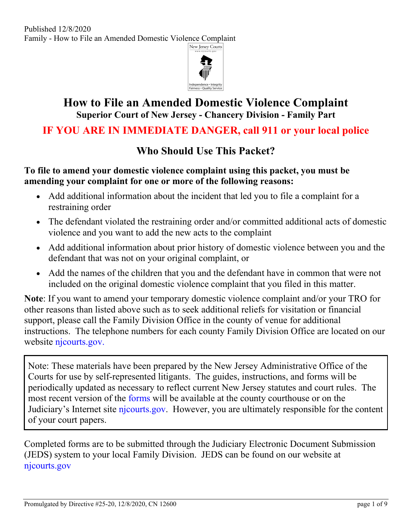

# **How to File an Amended Domestic Violence Complaint Superior Court of New Jersey - Chancery Division - Family Part**

# **IF YOU ARE IN IMMEDIATE DANGER, call 911 or your local police**

# **Who Should Use This Packet?**

#### **To file to amend your domestic violence complaint using this packet, you must be amending your complaint for one or more of the following reasons:**

- Add additional information about the incident that led you to file a complaint for a restraining order
- The defendant violated the restraining order and/or committed additional acts of domestic violence and you want to add the new acts to the complaint
- Add additional information about prior history of domestic violence between you and the defendant that was not on your original complaint, or
- Add the names of the children that you and the defendant have in common that were not included on the original domestic violence complaint that you filed in this matter.

**Note**: If you want to amend your temporary domestic violence complaint and/or your TRO for other reasons than listed above such as to seek additional reliefs for visitation or financial support, please call the Family Division Office in the county of venue for additional instructions. The telephone numbers for each county Family Division Office are located on our website [njcourts.gov.](https://www.njcourts.gov/courts/family/familyvicinage.html)

Note: These materials have been prepared by the New Jersey Administrative Office of the Courts for use by self-represented litigants. The guides, instructions, and forms will be periodically updated as necessary to reflect current New Jersey statutes and court rules. The most recent version of the [forms](http://www.njcourts.gov/selfhelp/index.html) will be available at the county courthouse or on the Judiciary's Internet site [njcourts.gov.](http://www.njcourts.gov/selfhelp/index.html) However, you are ultimately responsible for the content of your court papers.

Completed forms are to be submitted through the Judiciary Electronic Document Submission (JEDS) system to your local Family Division. JEDS can be found on our website at njcourts.gov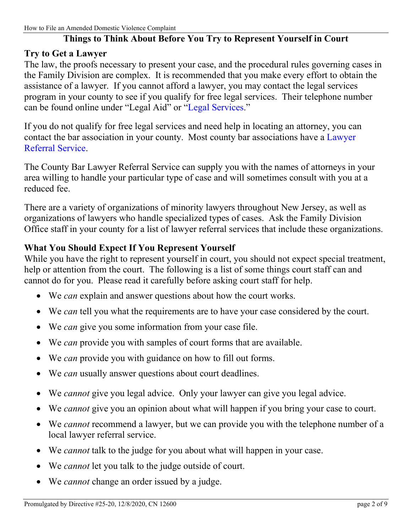### **Things to Think About Before You Try to Represent Yourself in Court**

#### **Try to Get a Lawyer**

The law, the proofs necessary to present your case, and the procedural rules governing cases in the Family Division are complex. It is recommended that you make every effort to obtain the assistance of a lawyer. If you cannot afford a lawyer, you may contact the legal services program in your county to see if you qualify for free legal services. Their telephone number can be found online under "Legal Aid" or ["Legal Services.](https://www.lsnj.org/)"

If you do not qualify for free legal services and need help in locating an attorney, you can contact the bar association in your county. Most county bar associations have a [Lawyer](http://apps.americanbar.org/legalservices/lris/directory/main.cfm?id=NJ)  [Referral Service.](http://apps.americanbar.org/legalservices/lris/directory/main.cfm?id=NJ)

The County Bar Lawyer Referral Service can supply you with the names of attorneys in your area willing to handle your particular type of case and will sometimes consult with you at a reduced fee.

There are a variety of organizations of minority lawyers throughout New Jersey, as well as organizations of lawyers who handle specialized types of cases. Ask the Family Division Office staff in your county for a list of lawyer referral services that include these organizations.

#### **What You Should Expect If You Represent Yourself**

While you have the right to represent yourself in court, you should not expect special treatment, help or attention from the court. The following is a list of some things court staff can and cannot do for you. Please read it carefully before asking court staff for help.

- We *can* explain and answer questions about how the court works.
- We *can* tell you what the requirements are to have your case considered by the court.
- We *can* give you some information from your case file.
- We *can* provide you with samples of court forms that are available.
- We *can* provide you with guidance on how to fill out forms.
- We *can* usually answer questions about court deadlines.
- We *cannot* give you legal advice. Only your lawyer can give you legal advice.
- We *cannot* give you an opinion about what will happen if you bring your case to court.
- We *cannot* recommend a lawyer, but we can provide you with the telephone number of a local lawyer referral service.
- We *cannot* talk to the judge for you about what will happen in your case.
- We *cannot* let you talk to the judge outside of court.
- We *cannot* change an order issued by a judge.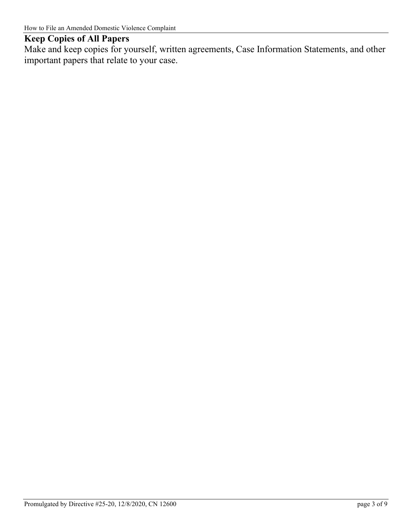## **Keep Copies of All Papers**

Make and keep copies for yourself, written agreements, Case Information Statements, and other important papers that relate to your case.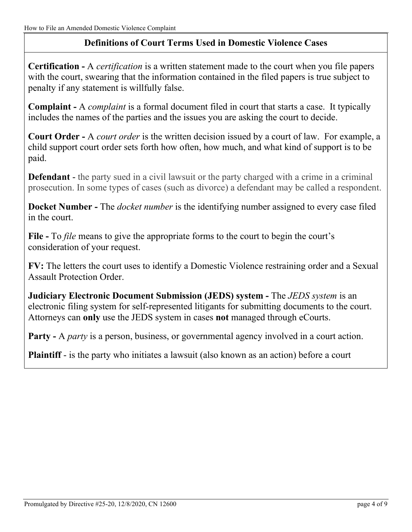# **Definitions of Court Terms Used in Domestic Violence Cases**

**Certification -** A *certification* is a written statement made to the court when you file papers with the court, swearing that the information contained in the filed papers is true subject to penalty if any statement is willfully false.

**Complaint -** A *complaint* is a formal document filed in court that starts a case. It typically includes the names of the parties and the issues you are asking the court to decide.

**Court Order -** A *court order* is the written decision issued by a court of law. For example, a child support court order sets forth how often, how much, and what kind of support is to be paid.

**Defendant** - the party sued in a civil lawsuit or the party charged with a crime in a criminal prosecution. In some types of cases (such as divorce) a defendant may be called a respondent.

**Docket Number -** The *docket number* is the identifying number assigned to every case filed in the court.

**File -** To *file* means to give the appropriate forms to the court to begin the court's consideration of your request.

**FV:** The letters the court uses to identify a Domestic Violence restraining order and a Sexual Assault Protection Order.

**Judiciary Electronic Document Submission (JEDS) system -** The *JEDS system* is an electronic filing system for self-represented litigants for submitting documents to the court. Attorneys can **only** use the JEDS system in cases **not** managed through eCourts.

**Party -** A *party* is a person, business, or governmental agency involved in a court action.

**Plaintiff** - is the party who initiates a lawsuit (also known as an action) before a court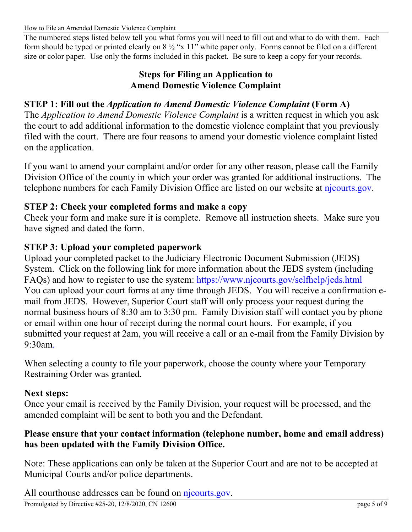The numbered steps listed below tell you what forms you will need to fill out and what to do with them. Each form should be typed or printed clearly on  $8\frac{1}{2}$  "x 11" white paper only. Forms cannot be filed on a different size or color paper. Use only the forms included in this packet. Be sure to keep a copy for your records.

#### **Steps for Filing an Application to Amend Domestic Violence Complaint**

### **STEP 1: Fill out the** *Application to Amend Domestic Violence Complaint* **(Form A)**

The *Application to Amend Domestic Violence Complaint* is a written request in which you ask the court to add additional information to the domestic violence complaint that you previously filed with the court. There are four reasons to amend your domestic violence complaint listed on the application.

If you want to amend your complaint and/or order for any other reason, please call the Family Division Office of the county in which your order was granted for additional instructions. The telephone numbers for each Family Division Office are listed on our website at [njcourts.gov.](https://www.njcourts.gov/courts/family/familyvicinage.html)

#### **STEP 2: Check your completed forms and make a copy**

Check your form and make sure it is complete. Remove all instruction sheets. Make sure you have signed and dated the form.

#### **STEP 3: Upload your completed paperwork**

Upload your completed packet to the Judiciary Electronic Document Submission (JEDS) System. Click on the following link for more information about the JEDS system (including FAQs) and how to register to use the system:<https://www.njcourts.gov/selfhelp/jeds.html> You can upload your court forms at any time through JEDS. You will receive a confirmation email from JEDS. However, Superior Court staff will only process your request during the normal business hours of 8:30 am to 3:30 pm. Family Division staff will contact you by phone or email within one hour of receipt during the normal court hours. For example, if you submitted your request at 2am, you will receive a call or an e-mail from the Family Division by 9:30am.

When selecting a county to file your paperwork, choose the county where your Temporary Restraining Order was granted.

#### **Next steps:**

Once your email is received by the Family Division, your request will be processed, and the amended complaint will be sent to both you and the Defendant.

#### **Please ensure that your contact information (telephone number, home and email address) has been updated with the Family Division Office.**

Note: These applications can only be taken at the Superior Court and are not to be accepted at Municipal Courts and/or police departments.

All courthouse addresses can be found on [njcourts.gov.](https://www.njcourts.gov/courts/index.html)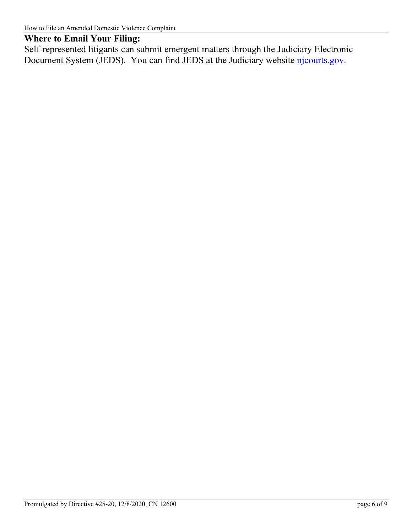### **Where to Email Your Filing:**

Self-represented litigants can submit emergent matters through the Judiciary Electronic Document System (JEDS). You can find JEDS at the Judiciary website [njcourts.gov.](https://www.njcourts.gov/selfhelp/jeds.html)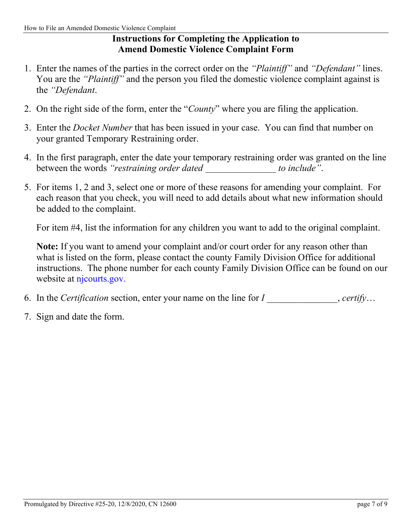# **Instructions for Completing the Application to Amend Domestic Violence Complaint Form**

- 1. Enter the names of the parties in the correct order on the *"Plaintiff"* and *"Defendant"* lines. You are the *"Plaintiff"* and the person you filed the domestic violence complaint against is the *"Defendant*.
- 2. On the right side of the form, enter the "*County*" where you are filing the application.
- 3. Enter the *Docket Number* that has been issued in your case. You can find that number on your granted Temporary Restraining order.
- 4. In the first paragraph, enter the date your temporary restraining order was granted on the line between the words *"restraining order dated* to *include"*.
- 5. For items 1, 2 and 3, select one or more of these reasons for amending your complaint. For each reason that you check, you will need to add details about what new information should be added to the complaint.

For item #4, list the information for any children you want to add to the original complaint.

**Note:** If you want to amend your complaint and/or court order for any reason other than what is listed on the form, please contact the county Family Division Office for additional instructions. The phone number for each county Family Division Office can be found on our website at [njcourts.gov.](https://www.njcourts.gov/courts/family/familyvicinage.html)

- 6. In the *Certification* section, enter your name on the line for *I* errify...
- 7. Sign and date the form.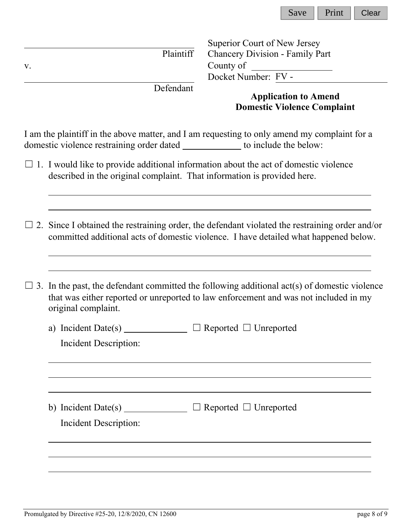| Save | Print | Clear |
|------|-------|-------|
|------|-------|-------|

|               |                                                                                                                                                                                                                                                                                                                                                                                                                   | Superior Court of New Jersey                                                                 |  |
|---------------|-------------------------------------------------------------------------------------------------------------------------------------------------------------------------------------------------------------------------------------------------------------------------------------------------------------------------------------------------------------------------------------------------------------------|----------------------------------------------------------------------------------------------|--|
|               | Plaintiff                                                                                                                                                                                                                                                                                                                                                                                                         | Chancery Division - Family Part                                                              |  |
| $\mathbf V$ . |                                                                                                                                                                                                                                                                                                                                                                                                                   | Docket Number: FV -                                                                          |  |
|               | Defendant                                                                                                                                                                                                                                                                                                                                                                                                         |                                                                                              |  |
|               |                                                                                                                                                                                                                                                                                                                                                                                                                   | <b>Application to Amend</b><br><b>Domestic Violence Complaint</b>                            |  |
|               | domestic violence restraining order dated _____________ to include the below:                                                                                                                                                                                                                                                                                                                                     | I am the plaintiff in the above matter, and I am requesting to only amend my complaint for a |  |
|               | $\Box$ 1. I would like to provide additional information about the act of domestic violence<br>described in the original complaint. That information is provided here.                                                                                                                                                                                                                                            |                                                                                              |  |
|               | $\Box$ 2. Since I obtained the restraining order, the defendant violated the restraining order and/or<br>committed additional acts of domestic violence. I have detailed what happened below.                                                                                                                                                                                                                     |                                                                                              |  |
|               | $\Box$ 3. In the past, the defendant committed the following additional act(s) of domestic violence<br>that was either reported or unreported to law enforcement and was not included in my<br>original complaint.                                                                                                                                                                                                |                                                                                              |  |
|               | a) Incident Date(s) $\frac{1}{\sqrt{1-\frac{1}{\sqrt{1-\frac{1}{\sqrt{1-\frac{1}{\sqrt{1-\frac{1}{\sqrt{1-\frac{1}{\sqrt{1-\frac{1}{\sqrt{1-\frac{1}{\sqrt{1-\frac{1}{\sqrt{1-\frac{1}{\sqrt{1-\frac{1}{\sqrt{1-\frac{1}{\sqrt{1-\frac{1}{\sqrt{1-\frac{1}{\sqrt{1-\frac{1}{\sqrt{1-\frac{1}{\sqrt{1-\frac{1}{\sqrt{1-\frac{1}{\sqrt{1-\frac{1}{\sqrt{1-\frac{1}{\sqrt{1-\frac{1}{\sqrt{1-\frac{1}{\sqrt{1-\frac$ | Reported $\Box$ Unreported                                                                   |  |
|               | Incident Description:                                                                                                                                                                                                                                                                                                                                                                                             |                                                                                              |  |
|               | b) Incident Date(s) $\frac{1}{\sqrt{1-\frac{1}{2}}\sqrt{1-\frac{1}{2}}\sqrt{1-\frac{1}{2}}\sqrt{1-\frac{1}{2}}}}$<br>Incident Description:                                                                                                                                                                                                                                                                        | $\Box$ Reported $\Box$ Unreported                                                            |  |
|               |                                                                                                                                                                                                                                                                                                                                                                                                                   |                                                                                              |  |